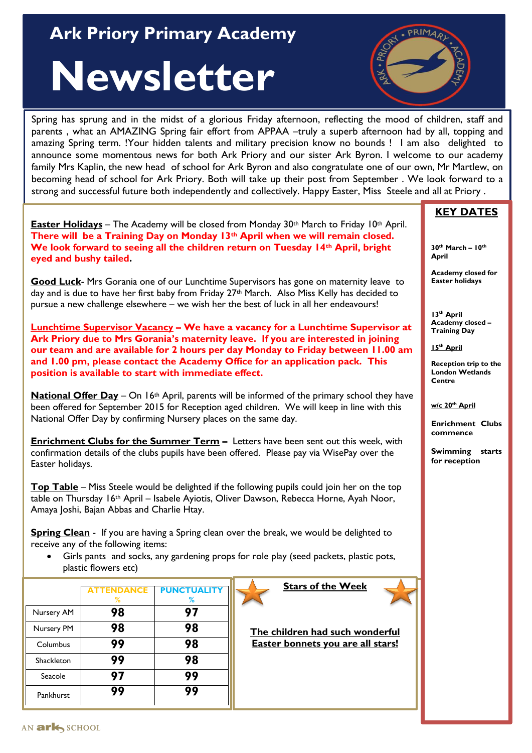## **Ark Priory Primary Academy** And Allen Assembly

## **Newsletter**



Spring has sprung and in the midst of a glorious Friday afternoon, reflecting the mood of children, staff and parents, what an AMAZING Spring fair effort from APPAA –truly a superb afternoon had by all, topping and amazing Spring term. !Your hidden talents and military precision know no bounds ! I am also delighted to announce some momentous news for both Ark Priory and our sister Ark Byron. I welcome to our academy family Mrs Kaplin, the new head of school for Ark Byron and also congratulate one of our own, Mr Martlew, on becoming head of school for Ark Priory. Both will take up their post from September . We look forward to a strong and successful future both independently and collectively. Happy Easter, Miss Steele and all at Priory .

**Easter Holidays** – The Academy will be closed from Monday 30th March to Friday 10th April. **There will be a Training Day on Monday 13th April when we will remain closed. We look forward to seeing all the children return on Tuesday 14th April, bright eyed and bushy tailed.**

**Good Luck**- Mrs Gorania one of our Lunchtime Supervisors has gone on maternity leave to day and is due to have her first baby from Friday  $27<sup>th</sup>$  March. Also Miss Kelly has decided to pursue a new challenge elsewhere – we wish her the best of luck in all her endeavours!

**Lunchtime Supervisor Vacancy – We have a vacancy for a Lunchtime Supervisor at Ark Priory due to Mrs Gorania's maternity leave. If you are interested in joining our team and are available for 2 hours per day Monday to Friday between 11.00 am and 1.00 pm, please contact the Academy Office for an application pack. This position is available to start with immediate effect.**

**National Offer Day** – On 16<sup>th</sup> April, parents will be informed of the primary school they have been offered for September 2015 for Reception aged children. We will keep in line with this National Offer Day by confirming Nursery places on the same day.

**Enrichment Clubs for the Summer Term –** Letters have been sent out this week, with confirmation details of the clubs pupils have been offered. Please pay via WisePay over the Easter holidays.

**Top Table** – Miss Steele would be delighted if the following pupils could join her on the top table on Thursday 16<sup>th</sup> April – Isabele Ayiotis, Oliver Dawson, Rebecca Horne, Ayah Noor, Amaya Joshi, Bajan Abbas and Charlie Htay.

**Spring Clean** - If you are having a Spring clean over the break, we would be delighted to receive any of the following items:

 Girls pants and socks, any gardening props for role play (seed packets, plastic pots, plastic flowers etc)

|            | <b>ATTENDANCE</b><br>% | <b>PUNCTUALITY</b><br>℅ |
|------------|------------------------|-------------------------|
| Nursery AM | 98                     | 97                      |
| Nursery PM | 98                     | 98                      |
| Columbus   | 99                     | 98                      |
| Shackleton | 99                     | 98                      |
| Seacole    | 97                     | 99                      |
| Pankhurst  |                        | 99                      |

**Stars of the Week**

**The children had such wonderful Easter bonnets you are all stars!**

## **KEY DATES**

**30th March – 10th April** 

**Academy closed for Easter holidays**

**13th April Academy closed – Training Day**

**15th April**

**Reception trip to the London Wetlands Centre**

**w/c 20th April**

**Enrichment Clubs commence**

**Swimming starts for reception**